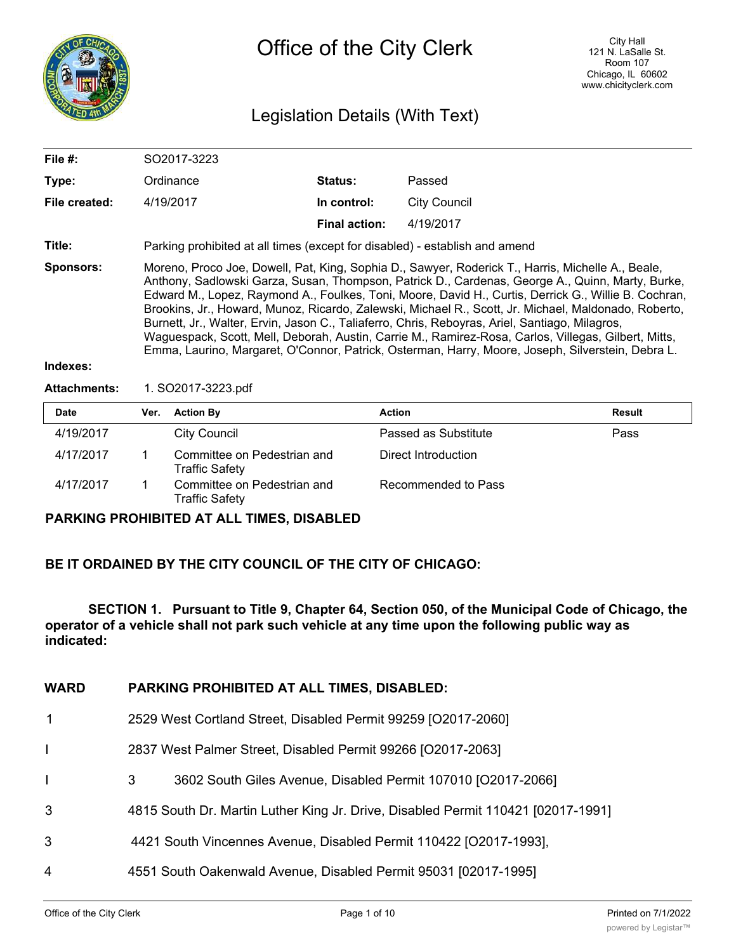

# Legislation Details (With Text)

| File $#$ :       | SO2017-3223                                                                                                                                                                                                                                                                                                                                                                                                                                                                                                                                                                                                                                                                                                                          |                      |              |
|------------------|--------------------------------------------------------------------------------------------------------------------------------------------------------------------------------------------------------------------------------------------------------------------------------------------------------------------------------------------------------------------------------------------------------------------------------------------------------------------------------------------------------------------------------------------------------------------------------------------------------------------------------------------------------------------------------------------------------------------------------------|----------------------|--------------|
| Type:            | Ordinance                                                                                                                                                                                                                                                                                                                                                                                                                                                                                                                                                                                                                                                                                                                            | <b>Status:</b>       | Passed       |
| File created:    | 4/19/2017                                                                                                                                                                                                                                                                                                                                                                                                                                                                                                                                                                                                                                                                                                                            | In control:          | City Council |
|                  |                                                                                                                                                                                                                                                                                                                                                                                                                                                                                                                                                                                                                                                                                                                                      | <b>Final action:</b> | 4/19/2017    |
| Title:           | Parking prohibited at all times (except for disabled) - establish and amend                                                                                                                                                                                                                                                                                                                                                                                                                                                                                                                                                                                                                                                          |                      |              |
| <b>Sponsors:</b> | Moreno, Proco Joe, Dowell, Pat, King, Sophia D., Sawyer, Roderick T., Harris, Michelle A., Beale,<br>Anthony, Sadlowski Garza, Susan, Thompson, Patrick D., Cardenas, George A., Quinn, Marty, Burke,<br>Edward M., Lopez, Raymond A., Foulkes, Toni, Moore, David H., Curtis, Derrick G., Willie B. Cochran,<br>Brookins, Jr., Howard, Munoz, Ricardo, Zalewski, Michael R., Scott, Jr. Michael, Maldonado, Roberto,<br>Burnett, Jr., Walter, Ervin, Jason C., Taliaferro, Chris, Reboyras, Ariel, Santiago, Milagros,<br>Waguespack, Scott, Mell, Deborah, Austin, Carrie M., Ramirez-Rosa, Carlos, Villegas, Gilbert, Mitts,<br>Emma, Laurino, Margaret, O'Connor, Patrick, Osterman, Harry, Moore, Joseph, Silverstein, Debra L. |                      |              |
| Indexes:         |                                                                                                                                                                                                                                                                                                                                                                                                                                                                                                                                                                                                                                                                                                                                      |                      |              |

#### **Indexes:**

#### **Attachments:** 1. SO2017-3223.pdf

| <b>Date</b> | Ver. | <b>Action By</b>                                     | <b>Action</b>        | Result |
|-------------|------|------------------------------------------------------|----------------------|--------|
| 4/19/2017   |      | City Council                                         | Passed as Substitute | Pass   |
| 4/17/2017   |      | Committee on Pedestrian and<br><b>Traffic Safety</b> | Direct Introduction  |        |
| 4/17/2017   |      | Committee on Pedestrian and<br>Traffic Safety        | Recommended to Pass  |        |

### **PARKING PROHIBITED AT ALL TIMES, DISABLED**

## **BE IT ORDAINED BY THE CITY COUNCIL OF THE CITY OF CHICAGO:**

**SECTION 1. Pursuant to Title 9, Chapter 64, Section 050, of the Municipal Code of Chicago, the operator of a vehicle shall not park such vehicle at any time upon the following public way as indicated:**

### **WARD PARKING PROHIBITED AT ALL TIMES, DISABLED:**

- 1 2529 West Cortland Street, Disabled Permit 99259 [O2017-2060]
- I 2837 West Palmer Street, Disabled Permit 99266 [O2017-2063]
- I 3 3602 South Giles Avenue, Disabled Permit 107010 [O2017-2066]
- 3 4815 South Dr. Martin Luther King Jr. Drive, Disabled Permit 110421 [02017-1991]
- 3 4421 South Vincennes Avenue, Disabled Permit 110422 [O2017-1993],
- 4 4551 South Oakenwald Avenue, Disabled Permit 95031 [02017-1995]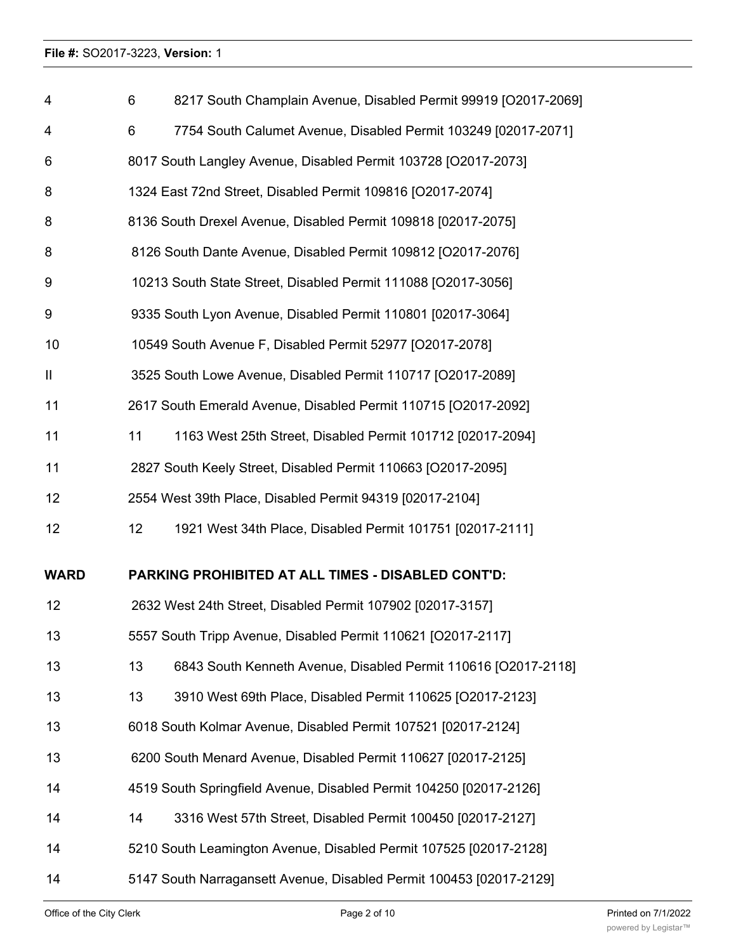| 4            | 6                                                              | 8217 South Champlain Avenue, Disabled Permit 99919 [O2017-2069]     |  |
|--------------|----------------------------------------------------------------|---------------------------------------------------------------------|--|
| 4            | 6                                                              | 7754 South Calumet Avenue, Disabled Permit 103249 [02017-2071]      |  |
| 6            | 8017 South Langley Avenue, Disabled Permit 103728 [O2017-2073] |                                                                     |  |
| 8            | 1324 East 72nd Street, Disabled Permit 109816 [O2017-2074]     |                                                                     |  |
| 8            |                                                                | 8136 South Drexel Avenue, Disabled Permit 109818 [02017-2075]       |  |
| 8            |                                                                | 8126 South Dante Avenue, Disabled Permit 109812 [O2017-2076]        |  |
| 9            |                                                                | 10213 South State Street, Disabled Permit 111088 [O2017-3056]       |  |
| 9            |                                                                | 9335 South Lyon Avenue, Disabled Permit 110801 [02017-3064]         |  |
| 10           |                                                                | 10549 South Avenue F, Disabled Permit 52977 [O2017-2078]            |  |
| $\mathbf{I}$ |                                                                | 3525 South Lowe Avenue, Disabled Permit 110717 [O2017-2089]         |  |
| 11           |                                                                | 2617 South Emerald Avenue, Disabled Permit 110715 [O2017-2092]      |  |
| 11           | 11                                                             | 1163 West 25th Street, Disabled Permit 101712 [02017-2094]          |  |
| 11           |                                                                | 2827 South Keely Street, Disabled Permit 110663 [O2017-2095]        |  |
| 12           |                                                                | 2554 West 39th Place, Disabled Permit 94319 [02017-2104]            |  |
| 12           | 12                                                             | 1921 West 34th Place, Disabled Permit 101751 [02017-2111]           |  |
| <b>WARD</b>  |                                                                | PARKING PROHIBITED AT ALL TIMES - DISABLED CONT'D:                  |  |
| 12           |                                                                | 2632 West 24th Street, Disabled Permit 107902 [02017-3157]          |  |
| 13           |                                                                | 5557 South Tripp Avenue, Disabled Permit 110621 [O2017-2117]        |  |
| 13           | 13                                                             | 6843 South Kenneth Avenue, Disabled Permit 110616 [O2017-2118]      |  |
| 13           | 13                                                             | 3910 West 69th Place, Disabled Permit 110625 [O2017-2123]           |  |
| 13           |                                                                | 6018 South Kolmar Avenue, Disabled Permit 107521 [02017-2124]       |  |
| 13           |                                                                | 6200 South Menard Avenue, Disabled Permit 110627 [02017-2125]       |  |
| 14           |                                                                | 4519 South Springfield Avenue, Disabled Permit 104250 [02017-2126]  |  |
| 14           | 14                                                             | 3316 West 57th Street, Disabled Permit 100450 [02017-2127]          |  |
| 14           |                                                                | 5210 South Leamington Avenue, Disabled Permit 107525 [02017-2128]   |  |
| 14           |                                                                | 5147 South Narragansett Avenue, Disabled Permit 100453 [02017-2129] |  |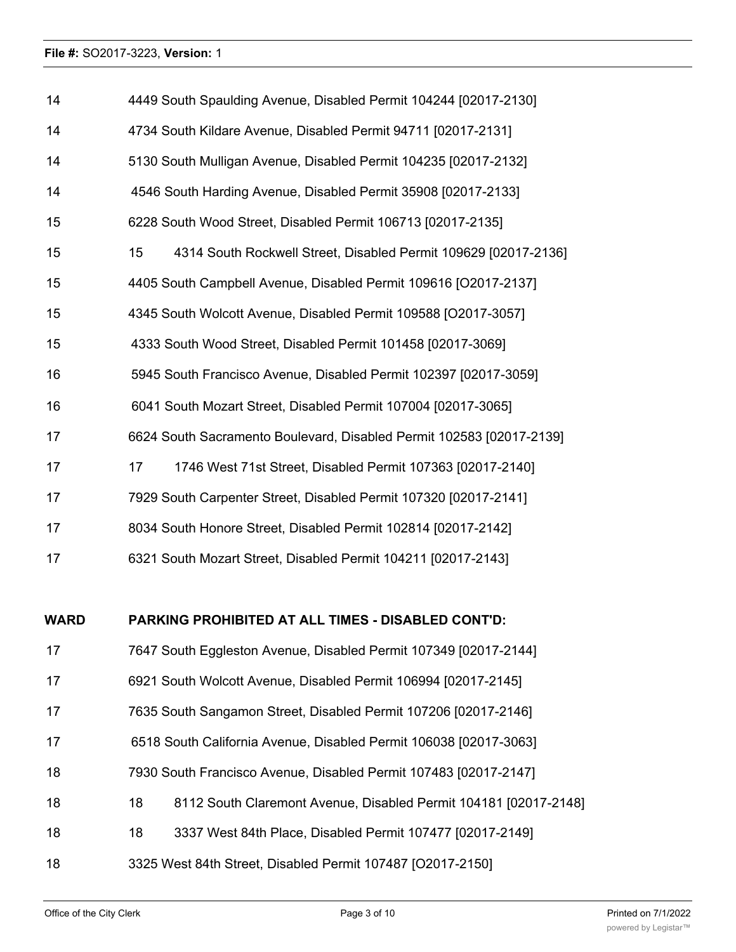| 14          | 4449 South Spaulding Avenue, Disabled Permit 104244 [02017-2130]       |  |  |
|-------------|------------------------------------------------------------------------|--|--|
| 14          | 4734 South Kildare Avenue, Disabled Permit 94711 [02017-2131]          |  |  |
| 14          | 5130 South Mulligan Avenue, Disabled Permit 104235 [02017-2132]        |  |  |
| 14          | 4546 South Harding Avenue, Disabled Permit 35908 [02017-2133]          |  |  |
| 15          | 6228 South Wood Street, Disabled Permit 106713 [02017-2135]            |  |  |
| 15          | 15<br>4314 South Rockwell Street, Disabled Permit 109629 [02017-2136]  |  |  |
| 15          | 4405 South Campbell Avenue, Disabled Permit 109616 [O2017-2137]        |  |  |
| 15          | 4345 South Wolcott Avenue, Disabled Permit 109588 [O2017-3057]         |  |  |
| 15          | 4333 South Wood Street, Disabled Permit 101458 [02017-3069]            |  |  |
| 16          | 5945 South Francisco Avenue, Disabled Permit 102397 [02017-3059]       |  |  |
| 16          | 6041 South Mozart Street, Disabled Permit 107004 [02017-3065]          |  |  |
| 17          | 6624 South Sacramento Boulevard, Disabled Permit 102583 [02017-2139]   |  |  |
| 17          | 1746 West 71st Street, Disabled Permit 107363 [02017-2140]<br>17       |  |  |
| 17          | 7929 South Carpenter Street, Disabled Permit 107320 [02017-2141]       |  |  |
| 17          | 8034 South Honore Street, Disabled Permit 102814 [02017-2142]          |  |  |
| 17          | 6321 South Mozart Street, Disabled Permit 104211 [02017-2143]          |  |  |
|             |                                                                        |  |  |
| <b>WARD</b> | <b>PARKING PROHIBITED AT ALL TIMES - DISABLED CONT'D:</b>              |  |  |
| 17          | 7647 South Eggleston Avenue, Disabled Permit 107349 [02017-2144]       |  |  |
| 17          | 6921 South Wolcott Avenue, Disabled Permit 106994 [02017-2145]         |  |  |
| 17          | 7635 South Sangamon Street, Disabled Permit 107206 [02017-2146]        |  |  |
| 17          | 6518 South California Avenue, Disabled Permit 106038 [02017-3063]      |  |  |
| 18          | 7930 South Francisco Avenue, Disabled Permit 107483 [02017-2147]       |  |  |
| 18          | 18<br>8112 South Claremont Avenue, Disabled Permit 104181 [02017-2148] |  |  |
| 18          | 18<br>3337 West 84th Place, Disabled Permit 107477 [02017-2149]        |  |  |
| 18          | 3325 West 84th Street, Disabled Permit 107487 [O2017-2150]             |  |  |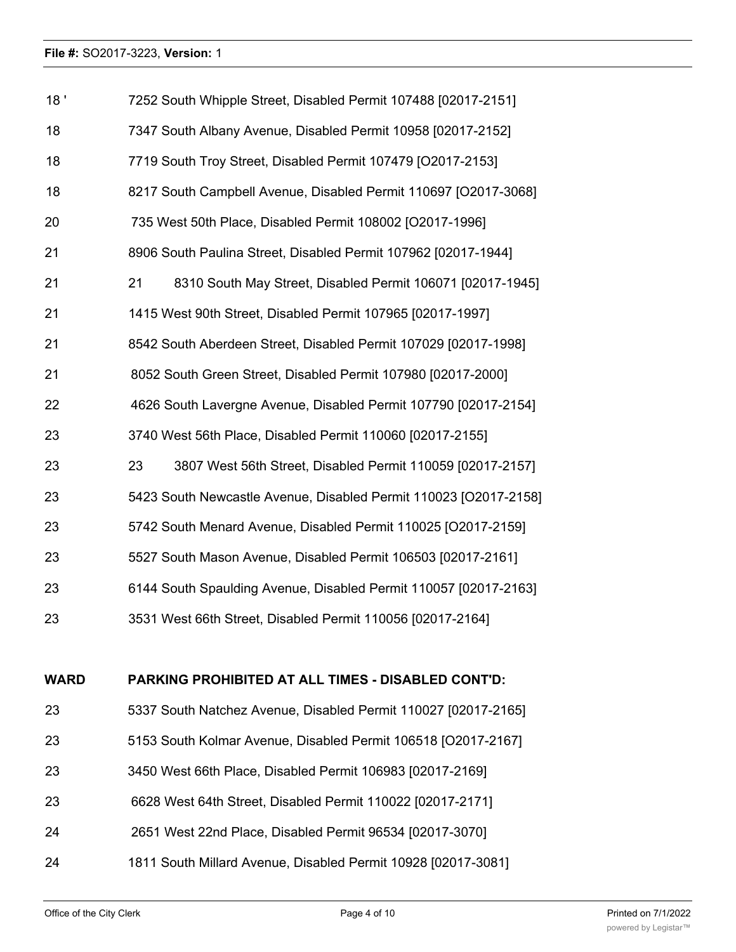| 18'         | 7252 South Whipple Street, Disabled Permit 107488 [02017-2151]   |  |  |
|-------------|------------------------------------------------------------------|--|--|
| 18          | 7347 South Albany Avenue, Disabled Permit 10958 [02017-2152]     |  |  |
| 18          | 7719 South Troy Street, Disabled Permit 107479 [O2017-2153]      |  |  |
| 18          | 8217 South Campbell Avenue, Disabled Permit 110697 [O2017-3068]  |  |  |
| 20          | 735 West 50th Place, Disabled Permit 108002 [O2017-1996]         |  |  |
| 21          | 8906 South Paulina Street, Disabled Permit 107962 [02017-1944]   |  |  |
| 21          | 21<br>8310 South May Street, Disabled Permit 106071 [02017-1945] |  |  |
| 21          | 1415 West 90th Street, Disabled Permit 107965 [02017-1997]       |  |  |
| 21          | 8542 South Aberdeen Street, Disabled Permit 107029 [02017-1998]  |  |  |
| 21          | 8052 South Green Street, Disabled Permit 107980 [02017-2000]     |  |  |
| 22          | 4626 South Lavergne Avenue, Disabled Permit 107790 [02017-2154]  |  |  |
| 23          | 3740 West 56th Place, Disabled Permit 110060 [02017-2155]        |  |  |
| 23          | 3807 West 56th Street, Disabled Permit 110059 [02017-2157]<br>23 |  |  |
| 23          | 5423 South Newcastle Avenue, Disabled Permit 110023 [O2017-2158] |  |  |
| 23          | 5742 South Menard Avenue, Disabled Permit 110025 [O2017-2159]    |  |  |
| 23          | 5527 South Mason Avenue, Disabled Permit 106503 [02017-2161]     |  |  |
| 23          | 6144 South Spaulding Avenue, Disabled Permit 110057 [02017-2163] |  |  |
| 23          | 3531 West 66th Street, Disabled Permit 110056 [02017-2164]       |  |  |
|             |                                                                  |  |  |
| <b>WARD</b> | <b>PARKING PROHIBITED AT ALL TIMES - DISABLED CONT'D:</b>        |  |  |
| 23          | 5337 South Natchez Avenue, Disabled Permit 110027 [02017-2165]   |  |  |
| 23          | 5153 South Kolmar Avenue, Disabled Permit 106518 [O2017-2167]    |  |  |
| 23          | 3450 West 66th Place, Disabled Permit 106983 [02017-2169]        |  |  |

- 6628 West 64th Street, Disabled Permit 110022 [02017-2171]
- 2651 West 22nd Place, Disabled Permit 96534 [02017-3070]
- 1811 South Millard Avenue, Disabled Permit 10928 [02017-3081]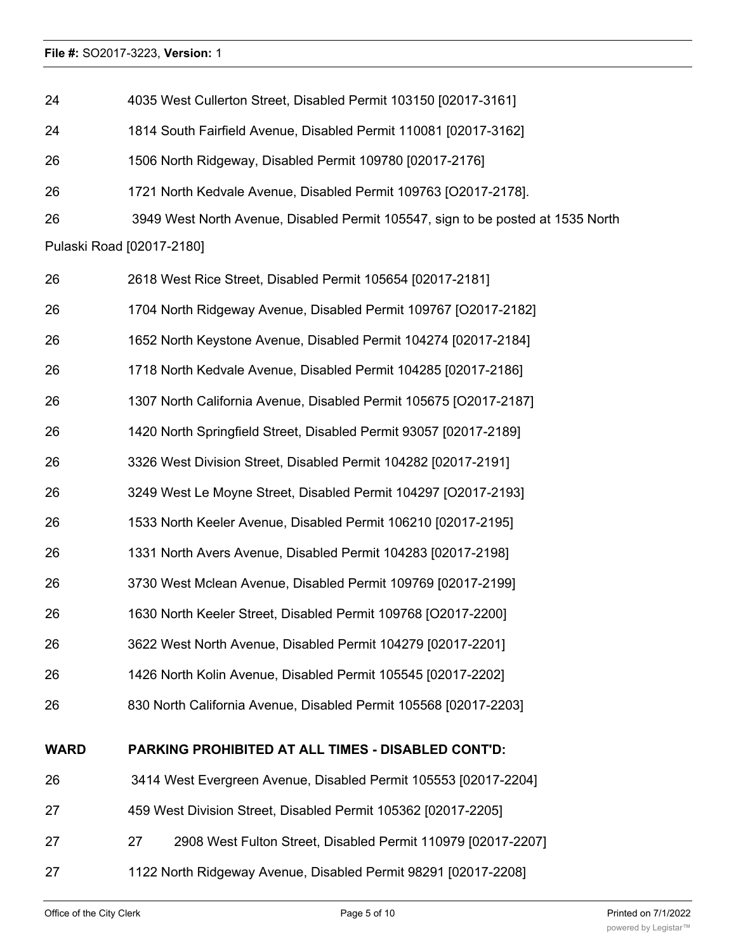| 24          | 4035 West Cullerton Street, Disabled Permit 103150 [02017-3161]                 |
|-------------|---------------------------------------------------------------------------------|
| 24          | 1814 South Fairfield Avenue, Disabled Permit 110081 [02017-3162]                |
| 26          | 1506 North Ridgeway, Disabled Permit 109780 [02017-2176]                        |
| 26          | 1721 North Kedvale Avenue, Disabled Permit 109763 [O2017-2178].                 |
| 26          | 3949 West North Avenue, Disabled Permit 105547, sign to be posted at 1535 North |
|             | Pulaski Road [02017-2180]                                                       |
| 26          | 2618 West Rice Street, Disabled Permit 105654 [02017-2181]                      |
| 26          | 1704 North Ridgeway Avenue, Disabled Permit 109767 [O2017-2182]                 |
| 26          | 1652 North Keystone Avenue, Disabled Permit 104274 [02017-2184]                 |
| 26          | 1718 North Kedvale Avenue, Disabled Permit 104285 [02017-2186]                  |
| 26          | 1307 North California Avenue, Disabled Permit 105675 [O2017-2187]               |
| 26          | 1420 North Springfield Street, Disabled Permit 93057 [02017-2189]               |
| 26          | 3326 West Division Street, Disabled Permit 104282 [02017-2191]                  |
| 26          | 3249 West Le Moyne Street, Disabled Permit 104297 [O2017-2193]                  |
| 26          | 1533 North Keeler Avenue, Disabled Permit 106210 [02017-2195]                   |
| 26          | 1331 North Avers Avenue, Disabled Permit 104283 [02017-2198]                    |
| 26          | 3730 West Mclean Avenue, Disabled Permit 109769 [02017-2199]                    |
| 26          | 1630 North Keeler Street, Disabled Permit 109768 [O2017-2200]                   |
| 26          | 3622 West North Avenue, Disabled Permit 104279 [02017-2201]                     |
| 26          | 1426 North Kolin Avenue, Disabled Permit 105545 [02017-2202]                    |
| 26          | 830 North California Avenue, Disabled Permit 105568 [02017-2203]                |
| <b>WARD</b> | <b>PARKING PROHIBITED AT ALL TIMES - DISABLED CONT'D:</b>                       |
| 26          | 3414 West Evergreen Avenue, Disabled Permit 105553 [02017-2204]                 |
| 27          | 459 West Division Street, Disabled Permit 105362 [02017-2205]                   |
| 27          | 2908 West Fulton Street, Disabled Permit 110979 [02017-2207]<br>27              |
| 27          | 1122 North Ridgeway Avenue, Disabled Permit 98291 [02017-2208]                  |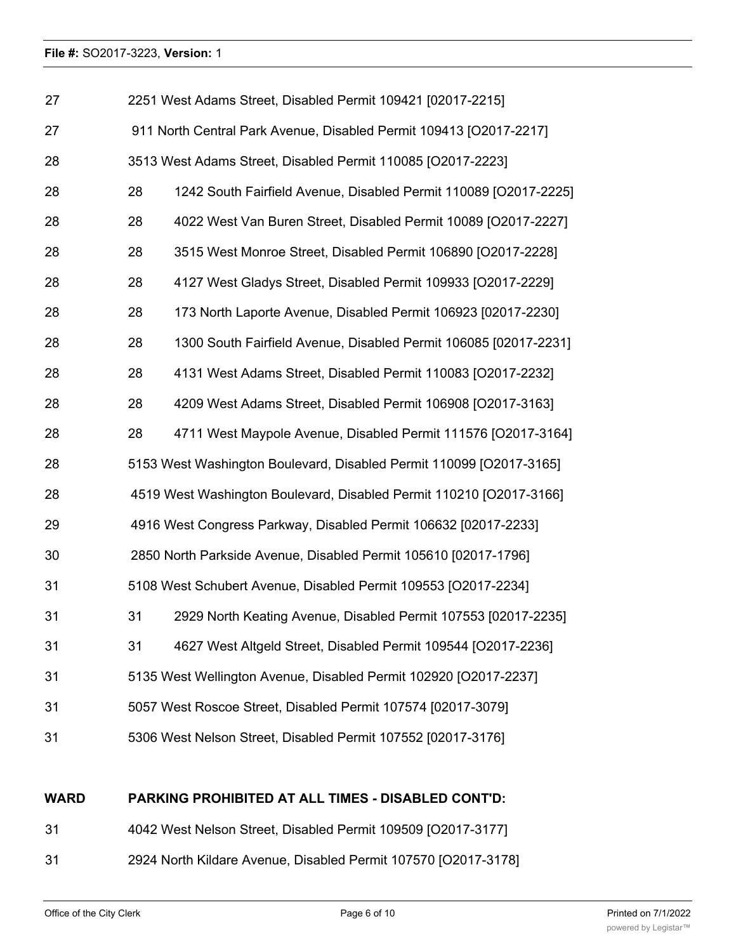| 27 |    | 2251 West Adams Street, Disabled Permit 109421 [02017-2215]         |
|----|----|---------------------------------------------------------------------|
| 27 |    | 911 North Central Park Avenue, Disabled Permit 109413 [O2017-2217]  |
| 28 |    | 3513 West Adams Street, Disabled Permit 110085 [O2017-2223]         |
| 28 | 28 | 1242 South Fairfield Avenue, Disabled Permit 110089 [O2017-2225]    |
| 28 | 28 | 4022 West Van Buren Street, Disabled Permit 10089 [O2017-2227]      |
| 28 | 28 | 3515 West Monroe Street, Disabled Permit 106890 [O2017-2228]        |
| 28 | 28 | 4127 West Gladys Street, Disabled Permit 109933 [O2017-2229]        |
| 28 | 28 | 173 North Laporte Avenue, Disabled Permit 106923 [02017-2230]       |
| 28 | 28 | 1300 South Fairfield Avenue, Disabled Permit 106085 [02017-2231]    |
| 28 | 28 | 4131 West Adams Street, Disabled Permit 110083 [O2017-2232]         |
| 28 | 28 | 4209 West Adams Street, Disabled Permit 106908 [O2017-3163]         |
| 28 | 28 | 4711 West Maypole Avenue, Disabled Permit 111576 [O2017-3164]       |
| 28 |    | 5153 West Washington Boulevard, Disabled Permit 110099 [O2017-3165] |
| 28 |    | 4519 West Washington Boulevard, Disabled Permit 110210 [O2017-3166] |
| 29 |    | 4916 West Congress Parkway, Disabled Permit 106632 [02017-2233]     |
| 30 |    | 2850 North Parkside Avenue, Disabled Permit 105610 [02017-1796]     |
| 31 |    | 5108 West Schubert Avenue, Disabled Permit 109553 [O2017-2234]      |
| 31 | 31 | 2929 North Keating Avenue, Disabled Permit 107553 [02017-2235]      |
| 31 | 31 | 4627 West Altgeld Street, Disabled Permit 109544 [O2017-2236]       |
| 31 |    | 5135 West Wellington Avenue, Disabled Permit 102920 [O2017-2237]    |
| 31 |    | 5057 West Roscoe Street, Disabled Permit 107574 [02017-3079]        |
| 31 |    | 5306 West Nelson Street, Disabled Permit 107552 [02017-3176]        |
|    |    |                                                                     |

#### **WARD PARKING PROHIBITED AT ALL TIMES - DISABLED CONT'D:**

- 4042 West Nelson Street, Disabled Permit 109509 [O2017-3177]
- 2924 North Kildare Avenue, Disabled Permit 107570 [O2017-3178]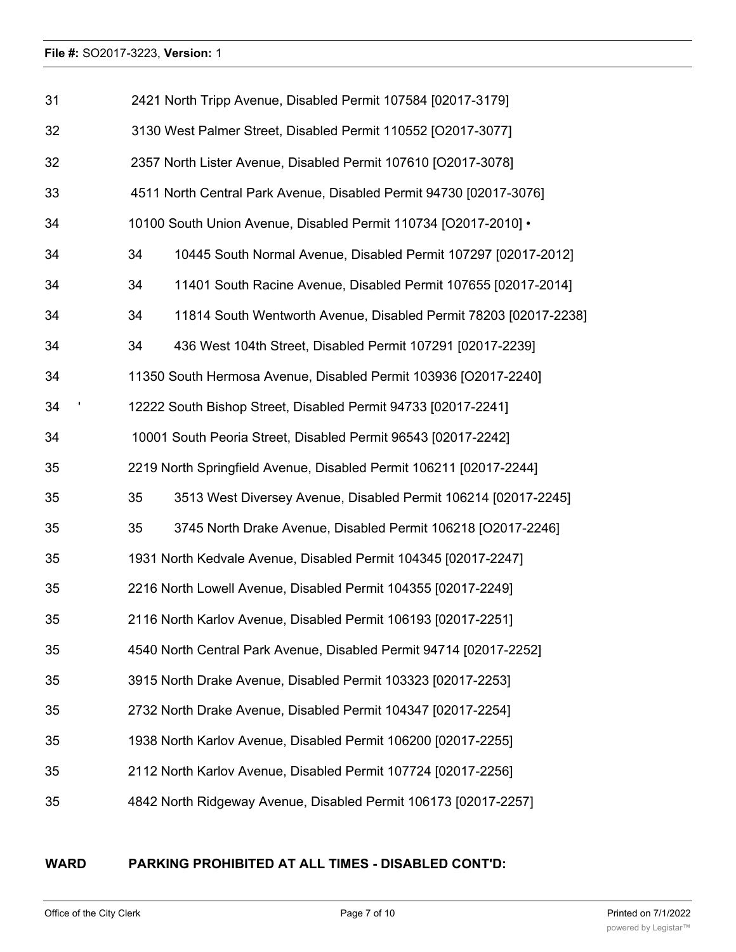| 31 |    | 2421 North Tripp Avenue, Disabled Permit 107584 [02017-3179]       |
|----|----|--------------------------------------------------------------------|
| 32 |    | 3130 West Palmer Street, Disabled Permit 110552 [O2017-3077]       |
| 32 |    | 2357 North Lister Avenue, Disabled Permit 107610 [O2017-3078]      |
| 33 |    | 4511 North Central Park Avenue, Disabled Permit 94730 [02017-3076] |
| 34 |    | 10100 South Union Avenue, Disabled Permit 110734 [O2017-2010] •    |
| 34 | 34 | 10445 South Normal Avenue, Disabled Permit 107297 [02017-2012]     |
| 34 | 34 | 11401 South Racine Avenue, Disabled Permit 107655 [02017-2014]     |
| 34 | 34 | 11814 South Wentworth Avenue, Disabled Permit 78203 [02017-2238]   |
| 34 | 34 | 436 West 104th Street, Disabled Permit 107291 [02017-2239]         |
| 34 |    | 11350 South Hermosa Avenue, Disabled Permit 103936 [O2017-2240]    |
| 34 |    | 12222 South Bishop Street, Disabled Permit 94733 [02017-2241]      |
| 34 |    | 10001 South Peoria Street, Disabled Permit 96543 [02017-2242]      |
| 35 |    | 2219 North Springfield Avenue, Disabled Permit 106211 [02017-2244] |
| 35 | 35 | 3513 West Diversey Avenue, Disabled Permit 106214 [02017-2245]     |
| 35 | 35 | 3745 North Drake Avenue, Disabled Permit 106218 [O2017-2246]       |
| 35 |    | 1931 North Kedvale Avenue, Disabled Permit 104345 [02017-2247]     |
| 35 |    | 2216 North Lowell Avenue, Disabled Permit 104355 [02017-2249]      |
| 35 |    | 2116 North Karlov Avenue, Disabled Permit 106193 [02017-2251]      |
| 35 |    | 4540 North Central Park Avenue, Disabled Permit 94714 [02017-2252] |
| 35 |    | 3915 North Drake Avenue, Disabled Permit 103323 [02017-2253]       |
| 35 |    | 2732 North Drake Avenue, Disabled Permit 104347 [02017-2254]       |
| 35 |    | 1938 North Karlov Avenue, Disabled Permit 106200 [02017-2255]      |
| 35 |    | 2112 North Karlov Avenue, Disabled Permit 107724 [02017-2256]      |
| 35 |    | 4842 North Ridgeway Avenue, Disabled Permit 106173 [02017-2257]    |

# **WARD PARKING PROHIBITED AT ALL TIMES - DISABLED CONT'D:**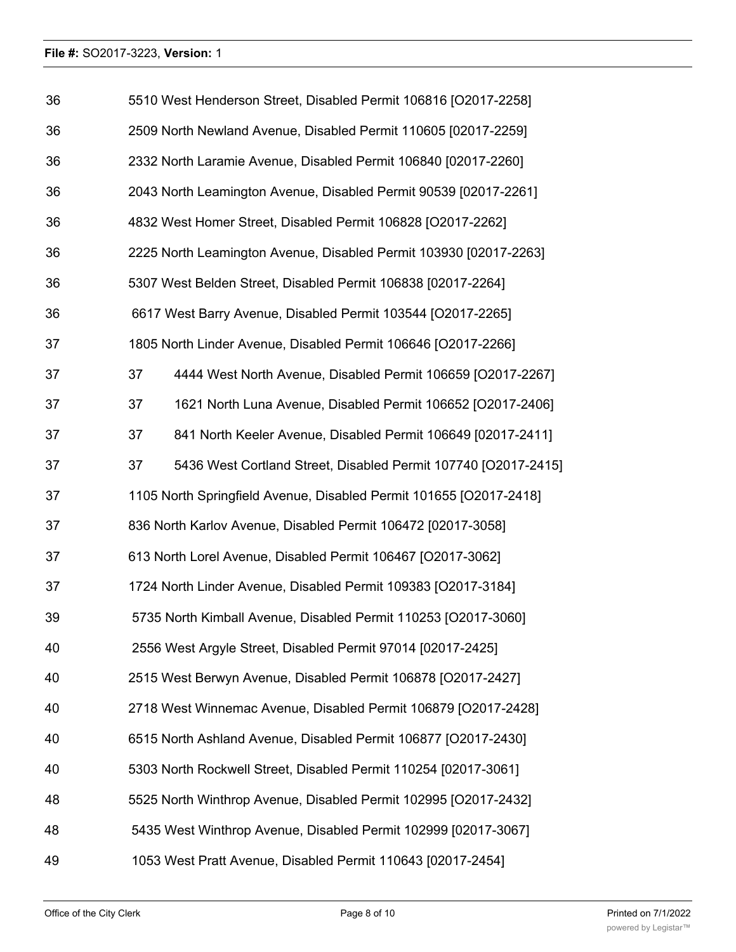| 36 | 5510 West Henderson Street, Disabled Permit 106816 [O2017-2258]      |
|----|----------------------------------------------------------------------|
| 36 | 2509 North Newland Avenue, Disabled Permit 110605 [02017-2259]       |
| 36 | 2332 North Laramie Avenue, Disabled Permit 106840 [02017-2260]       |
| 36 | 2043 North Leamington Avenue, Disabled Permit 90539 [02017-2261]     |
| 36 | 4832 West Homer Street, Disabled Permit 106828 [O2017-2262]          |
| 36 | 2225 North Leamington Avenue, Disabled Permit 103930 [02017-2263]    |
| 36 | 5307 West Belden Street, Disabled Permit 106838 [02017-2264]         |
| 36 | 6617 West Barry Avenue, Disabled Permit 103544 [O2017-2265]          |
| 37 | 1805 North Linder Avenue, Disabled Permit 106646 [O2017-2266]        |
| 37 | 37<br>4444 West North Avenue, Disabled Permit 106659 [O2017-2267]    |
| 37 | 1621 North Luna Avenue, Disabled Permit 106652 [O2017-2406]<br>37    |
| 37 | 37<br>841 North Keeler Avenue, Disabled Permit 106649 [02017-2411]   |
| 37 | 5436 West Cortland Street, Disabled Permit 107740 [O2017-2415]<br>37 |
| 37 | 1105 North Springfield Avenue, Disabled Permit 101655 [O2017-2418]   |
| 37 | 836 North Karlov Avenue, Disabled Permit 106472 [02017-3058]         |
| 37 | 613 North Lorel Avenue, Disabled Permit 106467 [O2017-3062]          |
| 37 | 1724 North Linder Avenue, Disabled Permit 109383 [O2017-3184]        |
| 39 | 5735 North Kimball Avenue, Disabled Permit 110253 [O2017-3060]       |
| 40 | 2556 West Argyle Street, Disabled Permit 97014 [02017-2425]          |
| 40 | 2515 West Berwyn Avenue, Disabled Permit 106878 [O2017-2427]         |
| 40 | 2718 West Winnemac Avenue, Disabled Permit 106879 [O2017-2428]       |
| 40 | 6515 North Ashland Avenue, Disabled Permit 106877 [O2017-2430]       |
| 40 | 5303 North Rockwell Street, Disabled Permit 110254 [02017-3061]      |
| 48 | 5525 North Winthrop Avenue, Disabled Permit 102995 [O2017-2432]      |
| 48 | 5435 West Winthrop Avenue, Disabled Permit 102999 [02017-3067]       |
| 49 | 1053 West Pratt Avenue, Disabled Permit 110643 [02017-2454]          |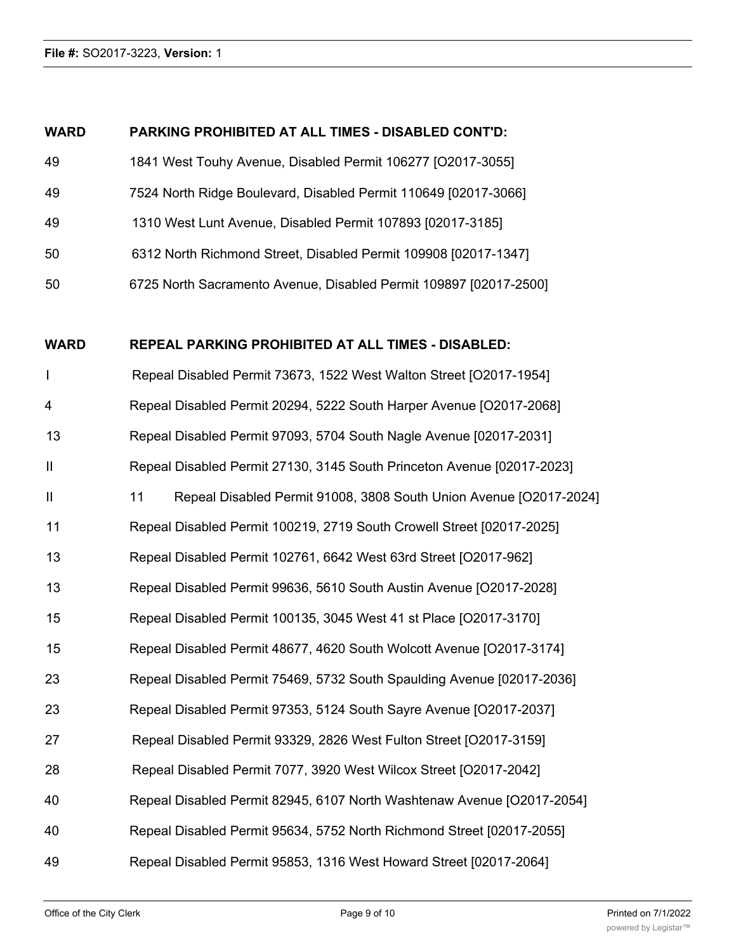# **WARD PARKING PROHIBITED AT ALL TIMES - DISABLED CONT'D:**

| 49  | 1841 West Touhy Avenue, Disabled Permit 106277 [O2017-3055]       |
|-----|-------------------------------------------------------------------|
| 49  | 7524 North Ridge Boulevard, Disabled Permit 110649 [02017-3066]   |
| 49  | 1310 West Lunt Avenue, Disabled Permit 107893 [02017-3185]        |
| -50 | 6312 North Richmond Street, Disabled Permit 109908 [02017-1347]   |
| -50 | 6725 North Sacramento Avenue, Disabled Permit 109897 [02017-2500] |

# **WARD REPEAL PARKING PROHIBITED AT ALL TIMES - DISABLED:**

| $\overline{1}$ | Repeal Disabled Permit 73673, 1522 West Walton Street [O2017-1954]       |
|----------------|--------------------------------------------------------------------------|
| 4              | Repeal Disabled Permit 20294, 5222 South Harper Avenue [O2017-2068]      |
| 13             | Repeal Disabled Permit 97093, 5704 South Nagle Avenue [02017-2031]       |
| $\mathbf{  }$  | Repeal Disabled Permit 27130, 3145 South Princeton Avenue [02017-2023]   |
| $\mathbf{II}$  | 11<br>Repeal Disabled Permit 91008, 3808 South Union Avenue [O2017-2024] |
| 11             | Repeal Disabled Permit 100219, 2719 South Crowell Street [02017-2025]    |
| 13             | Repeal Disabled Permit 102761, 6642 West 63rd Street [O2017-962]         |
| 13             | Repeal Disabled Permit 99636, 5610 South Austin Avenue [O2017-2028]      |
| 15             | Repeal Disabled Permit 100135, 3045 West 41 st Place [O2017-3170]        |
| 15             | Repeal Disabled Permit 48677, 4620 South Wolcott Avenue [O2017-3174]     |
| 23             | Repeal Disabled Permit 75469, 5732 South Spaulding Avenue [02017-2036]   |
| 23             | Repeal Disabled Permit 97353, 5124 South Sayre Avenue [O2017-2037]       |
| 27             | Repeal Disabled Permit 93329, 2826 West Fulton Street [O2017-3159]       |
| 28             | Repeal Disabled Permit 7077, 3920 West Wilcox Street [O2017-2042]        |
| 40             | Repeal Disabled Permit 82945, 6107 North Washtenaw Avenue [O2017-2054]   |
| 40             | Repeal Disabled Permit 95634, 5752 North Richmond Street [02017-2055]    |
| 49             | Repeal Disabled Permit 95853, 1316 West Howard Street [02017-2064]       |